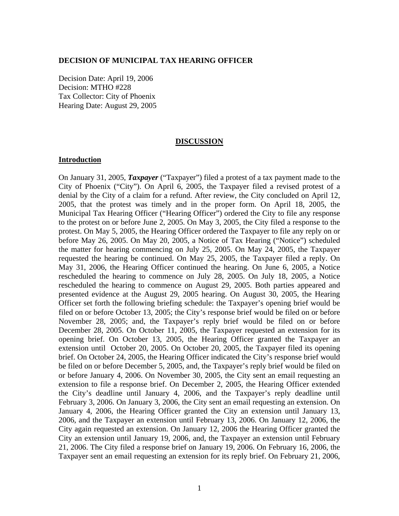### **DECISION OF MUNICIPAL TAX HEARING OFFICER**

Decision Date: April 19, 2006 Decision: MTHO #228 Tax Collector: City of Phoenix Hearing Date: August 29, 2005

#### **DISCUSSION**

### **Introduction**

On January 31, 2005, *Taxpayer* ("Taxpayer") filed a protest of a tax payment made to the City of Phoenix ("City"). On April 6, 2005, the Taxpayer filed a revised protest of a denial by the City of a claim for a refund. After review, the City concluded on April 12, 2005, that the protest was timely and in the proper form. On April 18, 2005, the Municipal Tax Hearing Officer ("Hearing Officer") ordered the City to file any response to the protest on or before June 2, 2005. On May 3, 2005, the City filed a response to the protest. On May 5, 2005, the Hearing Officer ordered the Taxpayer to file any reply on or before May 26, 2005. On May 20, 2005, a Notice of Tax Hearing ("Notice") scheduled the matter for hearing commencing on July 25, 2005. On May 24, 2005, the Taxpayer requested the hearing be continued. On May 25, 2005, the Taxpayer filed a reply. On May 31, 2006, the Hearing Officer continued the hearing. On June 6, 2005, a Notice rescheduled the hearing to commence on July 28, 2005. On July 18, 2005, a Notice rescheduled the hearing to commence on August 29, 2005. Both parties appeared and presented evidence at the August 29, 2005 hearing. On August 30, 2005, the Hearing Officer set forth the following briefing schedule: the Taxpayer's opening brief would be filed on or before October 13, 2005; the City's response brief would be filed on or before November 28, 2005; and, the Taxpayer's reply brief would be filed on or before December 28, 2005. On October 11, 2005, the Taxpayer requested an extension for its opening brief. On October 13, 2005, the Hearing Officer granted the Taxpayer an extension until October 20, 2005. On October 20, 2005, the Taxpayer filed its opening brief. On October 24, 2005, the Hearing Officer indicated the City's response brief would be filed on or before December 5, 2005, and, the Taxpayer's reply brief would be filed on or before January 4, 2006. On November 30, 2005, the City sent an email requesting an extension to file a response brief. On December 2, 2005, the Hearing Officer extended the City's deadline until January 4, 2006, and the Taxpayer's reply deadline until February 3, 2006. On January 3, 2006, the City sent an email requesting an extension. On January 4, 2006, the Hearing Officer granted the City an extension until January 13, 2006, and the Taxpayer an extension until February 13, 2006. On January 12, 2006, the City again requested an extension. On January 12, 2006 the Hearing Officer granted the City an extension until January 19, 2006, and, the Taxpayer an extension until February 21, 2006. The City filed a response brief on January 19, 2006. On February 16, 2006, the Taxpayer sent an email requesting an extension for its reply brief. On February 21, 2006,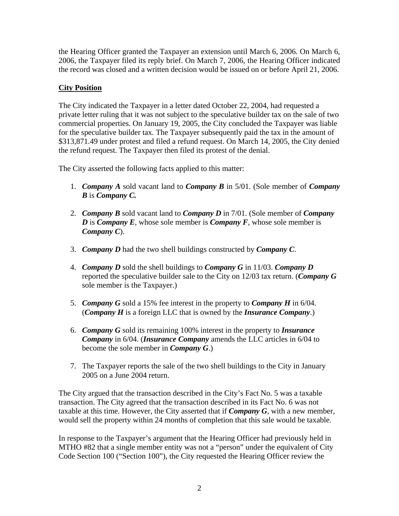the Hearing Officer granted the Taxpayer an extension until March 6, 2006. On March 6, 2006, the Taxpayer filed its reply brief. On March 7, 2006, the Hearing Officer indicated the record was closed and a written decision would be issued on or before April 21, 2006.

# **City Position**

The City indicated the Taxpayer in a letter dated October 22, 2004, had requested a private letter ruling that it was not subject to the speculative builder tax on the sale of two commercial properties. On January 19, 2005, the City concluded the Taxpayer was liable for the speculative builder tax. The Taxpayer subsequently paid the tax in the amount of \$313,871.49 under protest and filed a refund request. On March 14, 2005, the City denied the refund request. The Taxpayer then filed its protest of the denial.

The City asserted the following facts applied to this matter:

- 1. *Company A* sold vacant land to *Company B* in 5/01. (Sole member of *Company B* is *Company C.*
- 2. *Company B* sold vacant land to *Company D* in 7/01. (Sole member of *Company D* is *Company E*, whose sole member is *Company F*, whose sole member is *Company C*).
- 3. *Company D* had the two shell buildings constructed by *Company C*.
- 4. *Company D* sold the shell buildings to *Company G* in 11/03. *Company D* reported the speculative builder sale to the City on 12/03 tax return. (*Company G* sole member is the Taxpayer.)
- 5. *Company G* sold a 15% fee interest in the property to *Company H* in 6/04. (*Company H* is a foreign LLC that is owned by the *Insurance Company*.)
- 6. *Company G* sold its remaining 100% interest in the property to *Insurance Company* in 6/04. (*Insurance Company* amends the LLC articles in 6/04 to become the sole member in *Company G*.)
- 7. The Taxpayer reports the sale of the two shell buildings to the City in January 2005 on a June 2004 return.

The City argued that the transaction described in the City's Fact No. 5 was a taxable transaction. The City agreed that the transaction described in its Fact No. 6 was not taxable at this time. However, the City asserted that if *Company G*, with a new member, would sell the property within 24 months of completion that this sale would be taxable.

In response to the Taxpayer's argument that the Hearing Officer had previously held in MTHO #82 that a single member entity was not a "person" under the equivalent of City Code Section 100 ("Section 100"), the City requested the Hearing Officer review the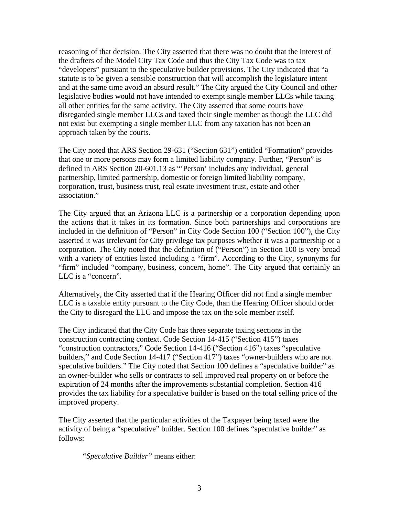reasoning of that decision. The City asserted that there was no doubt that the interest of the drafters of the Model City Tax Code and thus the City Tax Code was to tax "developers" pursuant to the speculative builder provisions. The City indicated that "a statute is to be given a sensible construction that will accomplish the legislature intent and at the same time avoid an absurd result." The City argued the City Council and other legislative bodies would not have intended to exempt single member LLCs while taxing all other entities for the same activity. The City asserted that some courts have disregarded single member LLCs and taxed their single member as though the LLC did not exist but exempting a single member LLC from any taxation has not been an approach taken by the courts.

The City noted that ARS Section 29-631 ("Section 631") entitled "Formation" provides that one or more persons may form a limited liability company. Further, "Person" is defined in ARS Section 20-601.13 as "'Person' includes any individual, general partnership, limited partnership, domestic or foreign limited liability company, corporation, trust, business trust, real estate investment trust, estate and other association."

The City argued that an Arizona LLC is a partnership or a corporation depending upon the actions that it takes in its formation. Since both partnerships and corporations are included in the definition of "Person" in City Code Section 100 ("Section 100"), the City asserted it was irrelevant for City privilege tax purposes whether it was a partnership or a corporation. The City noted that the definition of ("Person") in Section 100 is very broad with a variety of entities listed including a "firm". According to the City, synonyms for "firm" included "company, business, concern, home". The City argued that certainly an LLC is a "concern".

Alternatively, the City asserted that if the Hearing Officer did not find a single member LLC is a taxable entity pursuant to the City Code, than the Hearing Officer should order the City to disregard the LLC and impose the tax on the sole member itself.

The City indicated that the City Code has three separate taxing sections in the construction contracting context. Code Section 14-415 ("Section 415") taxes "construction contractors," Code Section 14-416 ("Section 416") taxes "speculative builders," and Code Section 14-417 ("Section 417") taxes "owner-builders who are not speculative builders." The City noted that Section 100 defines a "speculative builder" as an owner-builder who sells or contracts to sell improved real property on or before the expiration of 24 months after the improvements substantial completion. Section 416 provides the tax liability for a speculative builder is based on the total selling price of the improved property.

The City asserted that the particular activities of the Taxpayer being taxed were the activity of being a "speculative" builder. Section 100 defines "speculative builder" as follows:

*"Speculative Builder"* means either: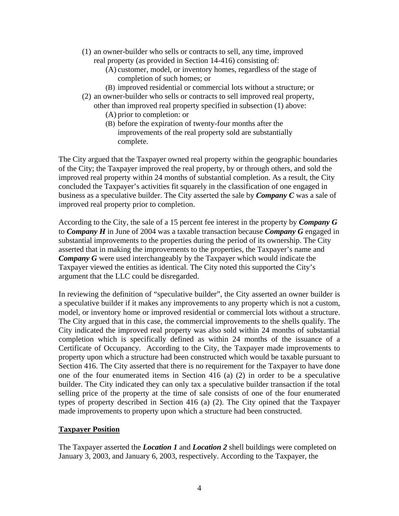- (1) an owner-builder who sells or contracts to sell, any time, improved real property (as provided in Section 14-416) consisting of:
	- (A) customer, model, or inventory homes, regardless of the stage of completion of such homes; or
	- (B) improved residential or commercial lots without a structure; or
- (2) an owner-builder who sells or contracts to sell improved real property, other than improved real property specified in subsection (1) above:
	- (A) prior to completion: or
	- (B) before the expiration of twenty-four months after the improvements of the real property sold are substantially complete.

The City argued that the Taxpayer owned real property within the geographic boundaries of the City; the Taxpayer improved the real property, by or through others, and sold the improved real property within 24 months of substantial completion. As a result, the City concluded the Taxpayer's activities fit squarely in the classification of one engaged in business as a speculative builder. The City asserted the sale by *Company C* was a sale of improved real property prior to completion.

According to the City, the sale of a 15 percent fee interest in the property by *Company G* to *Company H* in June of 2004 was a taxable transaction because *Company G* engaged in substantial improvements to the properties during the period of its ownership. The City asserted that in making the improvements to the properties, the Taxpayer's name and *Company G* were used interchangeably by the Taxpayer which would indicate the Taxpayer viewed the entities as identical. The City noted this supported the City's argument that the LLC could be disregarded.

In reviewing the definition of "speculative builder", the City asserted an owner builder is a speculative builder if it makes any improvements to any property which is not a custom, model, or inventory home or improved residential or commercial lots without a structure. The City argued that in this case, the commercial improvements to the shells qualify. The City indicated the improved real property was also sold within 24 months of substantial completion which is specifically defined as within 24 months of the issuance of a Certificate of Occupancy. According to the City, the Taxpayer made improvements to property upon which a structure had been constructed which would be taxable pursuant to Section 416. The City asserted that there is no requirement for the Taxpayer to have done one of the four enumerated items in Section 416 (a) (2) in order to be a speculative builder. The City indicated they can only tax a speculative builder transaction if the total selling price of the property at the time of sale consists of one of the four enumerated types of property described in Section 416 (a) (2). The City opined that the Taxpayer made improvements to property upon which a structure had been constructed.

## **Taxpayer Position**

The Taxpayer asserted the *Location 1* and *Location 2* shell buildings were completed on January 3, 2003, and January 6, 2003, respectively. According to the Taxpayer, the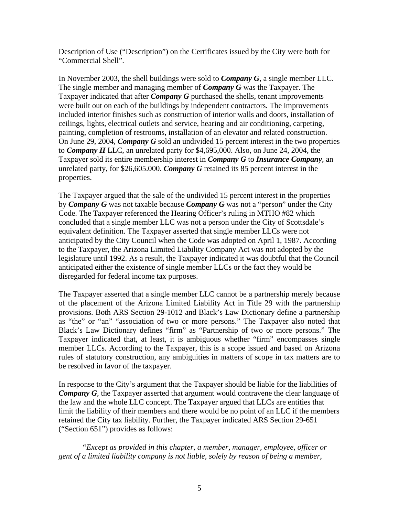Description of Use ("Description") on the Certificates issued by the City were both for "Commercial Shell".

In November 2003, the shell buildings were sold to *Company G*, a single member LLC. The single member and managing member of *Company G* was the Taxpayer. The Taxpayer indicated that after *Company G* purchased the shells, tenant improvements were built out on each of the buildings by independent contractors. The improvements included interior finishes such as construction of interior walls and doors, installation of ceilings, lights, electrical outlets and service, hearing and air conditioning, carpeting, painting, completion of restrooms, installation of an elevator and related construction. On June 29, 2004, *Company G* sold an undivided 15 percent interest in the two properties to *Company H* LLC, an unrelated party for \$4,695,000. Also, on June 24, 2004, the Taxpayer sold its entire membership interest in *Company G* to *Insurance Company*, an unrelated party, for \$26,605.000. *Company G* retained its 85 percent interest in the properties.

The Taxpayer argued that the sale of the undivided 15 percent interest in the properties by *Company G* was not taxable because *Company G* was not a "person" under the City Code. The Taxpayer referenced the Hearing Officer's ruling in MTHO #82 which concluded that a single member LLC was not a person under the City of Scottsdale's equivalent definition. The Taxpayer asserted that single member LLCs were not anticipated by the City Council when the Code was adopted on April 1, 1987. According to the Taxpayer, the Arizona Limited Liability Company Act was not adopted by the legislature until 1992. As a result, the Taxpayer indicated it was doubtful that the Council anticipated either the existence of single member LLCs or the fact they would be disregarded for federal income tax purposes.

The Taxpayer asserted that a single member LLC cannot be a partnership merely because of the placement of the Arizona Limited Liability Act in Title 29 with the partnership provisions. Both ARS Section 29-1012 and Black's Law Dictionary define a partnership as "the" or "an" "association of two or more persons." The Taxpayer also noted that Black's Law Dictionary defines "firm" as "Partnership of two or more persons." The Taxpayer indicated that, at least, it is ambiguous whether "firm" encompasses single member LLCs. According to the Taxpayer, this is a scope issued and based on Arizona rules of statutory construction, any ambiguities in matters of scope in tax matters are to be resolved in favor of the taxpayer.

In response to the City's argument that the Taxpayer should be liable for the liabilities of *Company G*, the Taxpayer asserted that argument would contravene the clear language of the law and the whole LLC concept. The Taxpayer argued that LLCs are entities that limit the liability of their members and there would be no point of an LLC if the members retained the City tax liability. Further, the Taxpayer indicated ARS Section 29-651 ("Section 651") provides as follows:

*"Except as provided in this chapter, a member, manager, employee, officer or gent of a limited liability company is not liable, solely by reason of being a member,*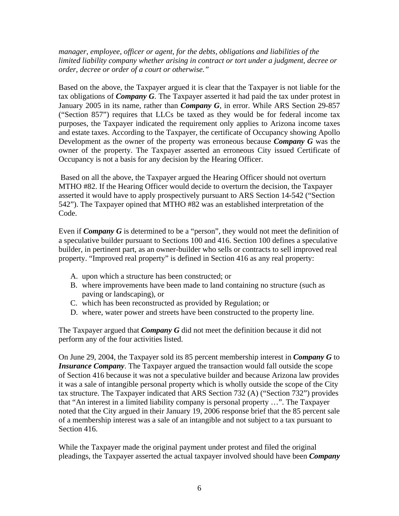*manager, employee, officer or agent, for the debts, obligations and liabilities of the limited liability company whether arising in contract or tort under a judgment, decree or order, decree or order of a court or otherwise."*

Based on the above, the Taxpayer argued it is clear that the Taxpayer is not liable for the tax obligations of *Company G*. The Taxpayer asserted it had paid the tax under protest in January 2005 in its name, rather than *Company G*, in error. While ARS Section 29-857 ("Section 857") requires that LLCs be taxed as they would be for federal income tax purposes, the Taxpayer indicated the requirement only applies to Arizona income taxes and estate taxes. According to the Taxpayer, the certificate of Occupancy showing Apollo Development as the owner of the property was erroneous because *Company G* was the owner of the property. The Taxpayer asserted an erroneous City issued Certificate of Occupancy is not a basis for any decision by the Hearing Officer.

 Based on all the above, the Taxpayer argued the Hearing Officer should not overturn MTHO #82. If the Hearing Officer would decide to overturn the decision, the Taxpayer asserted it would have to apply prospectively pursuant to ARS Section 14-542 ("Section 542"). The Taxpayer opined that MTHO #82 was an established interpretation of the Code.

Even if *Company G* is determined to be a "person", they would not meet the definition of a speculative builder pursuant to Sections 100 and 416. Section 100 defines a speculative builder, in pertinent part, as an owner-builder who sells or contracts to sell improved real property. "Improved real property" is defined in Section 416 as any real property:

- A. upon which a structure has been constructed; or
- B. where improvements have been made to land containing no structure (such as paving or landscaping), or
- C. which has been reconstructed as provided by Regulation; or
- D. where, water power and streets have been constructed to the property line.

The Taxpayer argued that *Company G* did not meet the definition because it did not perform any of the four activities listed.

On June 29, 2004, the Taxpayer sold its 85 percent membership interest in *Company G* to *Insurance Company*. The Taxpayer argued the transaction would fall outside the scope of Section 416 because it was not a speculative builder and because Arizona law provides it was a sale of intangible personal property which is wholly outside the scope of the City tax structure. The Taxpayer indicated that ARS Section 732 (A) ("Section 732") provides that "An interest in a limited liability company is personal property …". The Taxpayer noted that the City argued in their January 19, 2006 response brief that the 85 percent sale of a membership interest was a sale of an intangible and not subject to a tax pursuant to Section 416.

While the Taxpayer made the original payment under protest and filed the original pleadings, the Taxpayer asserted the actual taxpayer involved should have been *Company*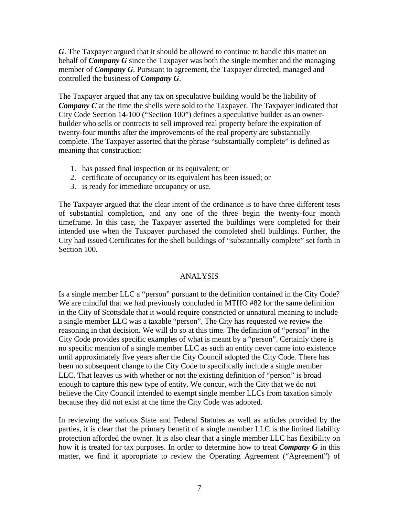*G*. The Taxpayer argued that it should be allowed to continue to handle this matter on behalf of *Company G* since the Taxpayer was both the single member and the managing member of *Company G*. Pursuant to agreement, the Taxpayer directed, managed and controlled the business of *Company G*.

The Taxpayer argued that any tax on speculative building would be the liability of *Company C* at the time the shells were sold to the Taxpayer. The Taxpayer indicated that City Code Section 14-100 ("Section 100") defines a speculative builder as an ownerbuilder who sells or contracts to sell improved real property before the expiration of twenty-four months after the improvements of the real property are substantially complete. The Taxpayer asserted that the phrase "substantially complete" is defined as meaning that construction:

- 1. has passed final inspection or its equivalent; or
- 2. certificate of occupancy or its equivalent has been issued; or
- 3. is ready for immediate occupancy or use.

The Taxpayer argued that the clear intent of the ordinance is to have three different tests of substantial completion, and any one of the three begin the twenty-four month timeframe. In this case, the Taxpayer asserted the buildings were completed for their intended use when the Taxpayer purchased the completed shell buildings. Further, the City had issued Certificates for the shell buildings of "substantially complete" set forth in Section 100.

## ANALYSIS

Is a single member LLC a "person" pursuant to the definition contained in the City Code? We are mindful that we had previously concluded in MTHO #82 for the same definition in the City of Scottsdale that it would require constricted or unnatural meaning to include a single member LLC was a taxable "person". The City has requested we review the reasoning in that decision. We will do so at this time. The definition of "person" in the City Code provides specific examples of what is meant by a "person". Certainly there is no specific mention of a single member LLC as such an entity never came into existence until approximately five years after the City Council adopted the City Code. There has been no subsequent change to the City Code to specifically include a single member LLC. That leaves us with whether or not the existing definition of "person" is broad enough to capture this new type of entity. We concur, with the City that we do not believe the City Council intended to exempt single member LLCs from taxation simply because they did not exist at the time the City Code was adopted.

In reviewing the various State and Federal Statutes as well as articles provided by the parties, it is clear that the primary benefit of a single member LLC is the limited liability protection afforded the owner. It is also clear that a single member LLC has flexibility on how it is treated for tax purposes. In order to determine how to treat *Company G* in this matter, we find it appropriate to review the Operating Agreement ("Agreement") of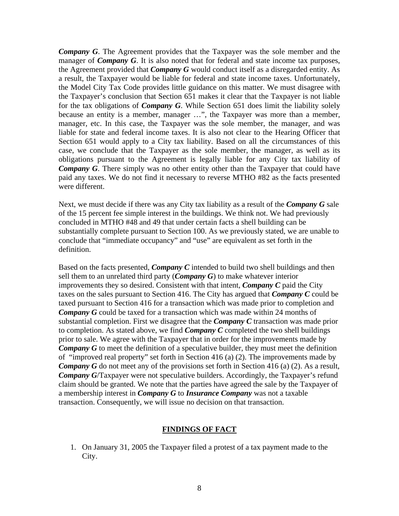*Company G*. The Agreement provides that the Taxpayer was the sole member and the manager of *Company G*. It is also noted that for federal and state income tax purposes, the Agreement provided that *Company G* would conduct itself as a disregarded entity. As a result, the Taxpayer would be liable for federal and state income taxes. Unfortunately, the Model City Tax Code provides little guidance on this matter. We must disagree with the Taxpayer's conclusion that Section 651 makes it clear that the Taxpayer is not liable for the tax obligations of *Company G*. While Section 651 does limit the liability solely because an entity is a member, manager …", the Taxpayer was more than a member, manager, etc. In this case, the Taxpayer was the sole member, the manager, and was liable for state and federal income taxes. It is also not clear to the Hearing Officer that Section 651 would apply to a City tax liability. Based on all the circumstances of this case, we conclude that the Taxpayer as the sole member, the manager, as well as its obligations pursuant to the Agreement is legally liable for any City tax liability of *Company G*. There simply was no other entity other than the Taxpayer that could have paid any taxes. We do not find it necessary to reverse MTHO #82 as the facts presented were different.

Next, we must decide if there was any City tax liability as a result of the *Company G* sale of the 15 percent fee simple interest in the buildings. We think not. We had previously concluded in MTHO #48 and 49 that under certain facts a shell building can be substantially complete pursuant to Section 100. As we previously stated, we are unable to conclude that "immediate occupancy" and "use" are equivalent as set forth in the definition.

Based on the facts presented, *Company C* intended to build two shell buildings and then sell them to an unrelated third party (*Company G*) to make whatever interior improvements they so desired. Consistent with that intent, *Company C* paid the City taxes on the sales pursuant to Section 416. The City has argued that *Company C* could be taxed pursuant to Section 416 for a transaction which was made prior to completion and *Company G* could be taxed for a transaction which was made within 24 months of substantial completion. First we disagree that the *Company C* transaction was made prior to completion. As stated above, we find *Company C* completed the two shell buildings prior to sale. We agree with the Taxpayer that in order for the improvements made by *Company G* to meet the definition of a speculative builder, they must meet the definition of "improved real property" set forth in Section 416 (a) (2). The improvements made by *Company G* do not meet any of the provisions set forth in Section 416 (a) (2). As a result, *Company G*/Taxpayer were not speculative builders. Accordingly, the Taxpayer's refund claim should be granted. We note that the parties have agreed the sale by the Taxpayer of a membership interest in *Company G* to *Insurance Company* was not a taxable transaction. Consequently, we will issue no decision on that transaction.

### **FINDINGS OF FACT**

1. On January 31, 2005 the Taxpayer filed a protest of a tax payment made to the City.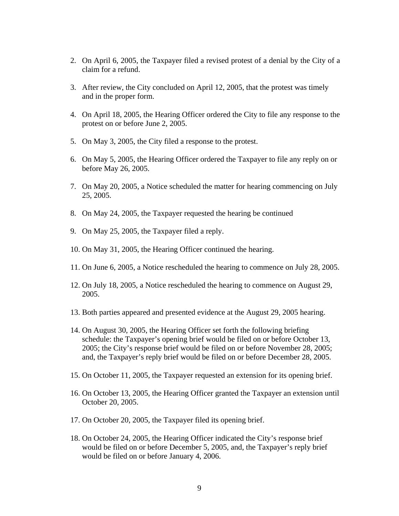- 2. On April 6, 2005, the Taxpayer filed a revised protest of a denial by the City of a claim for a refund.
- 3. After review, the City concluded on April 12, 2005, that the protest was timely and in the proper form.
- 4. On April 18, 2005, the Hearing Officer ordered the City to file any response to the protest on or before June 2, 2005.
- 5. On May 3, 2005, the City filed a response to the protest.
- 6. On May 5, 2005, the Hearing Officer ordered the Taxpayer to file any reply on or before May 26, 2005.
- 7. On May 20, 2005, a Notice scheduled the matter for hearing commencing on July 25, 2005.
- 8. On May 24, 2005, the Taxpayer requested the hearing be continued
- 9. On May 25, 2005, the Taxpayer filed a reply.
- 10. On May 31, 2005, the Hearing Officer continued the hearing.
- 11. On June 6, 2005, a Notice rescheduled the hearing to commence on July 28, 2005.
- 12. On July 18, 2005, a Notice rescheduled the hearing to commence on August 29, 2005.
- 13. Both parties appeared and presented evidence at the August 29, 2005 hearing.
- 14. On August 30, 2005, the Hearing Officer set forth the following briefing schedule: the Taxpayer's opening brief would be filed on or before October 13, 2005; the City's response brief would be filed on or before November 28, 2005; and, the Taxpayer's reply brief would be filed on or before December 28, 2005.
- 15. On October 11, 2005, the Taxpayer requested an extension for its opening brief.
- 16. On October 13, 2005, the Hearing Officer granted the Taxpayer an extension until October 20, 2005.
- 17. On October 20, 2005, the Taxpayer filed its opening brief.
- 18. On October 24, 2005, the Hearing Officer indicated the City's response brief would be filed on or before December 5, 2005, and, the Taxpayer's reply brief would be filed on or before January 4, 2006.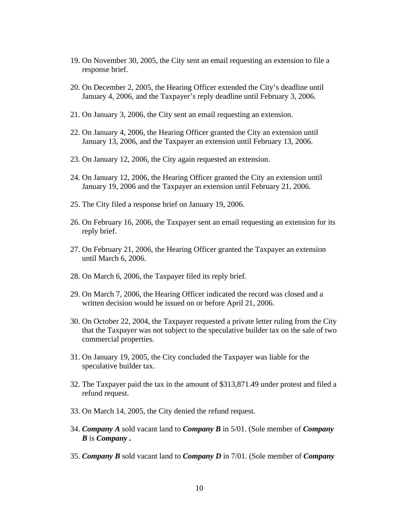- 19. On November 30, 2005, the City sent an email requesting an extension to file a response brief.
- 20. On December 2, 2005, the Hearing Officer extended the City's deadline until January 4, 2006, and the Taxpayer's reply deadline until February 3, 2006.
- 21. On January 3, 2006, the City sent an email requesting an extension.
- 22. On January 4, 2006, the Hearing Officer granted the City an extension until January 13, 2006, and the Taxpayer an extension until February 13, 2006.
- 23. On January 12, 2006, the City again requested an extension.
- 24. On January 12, 2006, the Hearing Officer granted the City an extension until January 19, 2006 and the Taxpayer an extension until February 21, 2006.
- 25. The City filed a response brief on January 19, 2006.
- 26. On February 16, 2006, the Taxpayer sent an email requesting an extension for its reply brief.
- 27. On February 21, 2006, the Hearing Officer granted the Taxpayer an extension until March 6, 2006.
- 28. On March 6, 2006, the Taxpayer filed its reply brief.
- 29. On March 7, 2006, the Hearing Officer indicated the record was closed and a written decision would be issued on or before April 21, 2006.
- 30. On October 22, 2004, the Taxpayer requested a private letter ruling from the City that the Taxpayer was not subject to the speculative builder tax on the sale of two commercial properties.
- 31. On January 19, 2005, the City concluded the Taxpayer was liable for the speculative builder tax.
- 32. The Taxpayer paid the tax in the amount of \$313,871.49 under protest and filed a refund request.
- 33. On March 14, 2005, the City denied the refund request.
- 34. *Company A* sold vacant land to *Company B* in 5/01. (Sole member of *Company B* is *Company .*
- 35. *Company B* sold vacant land to *Company D* in 7/01. (Sole member of *Company*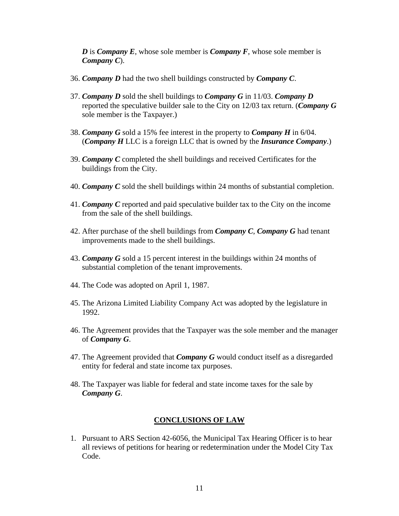*D* is *Company E*, whose sole member is *Company F*, whose sole member is *Company C*).

- 36. *Company D* had the two shell buildings constructed by *Company C*.
- 37. *Company D* sold the shell buildings to *Company G* in 11/03. *Company D* reported the speculative builder sale to the City on 12/03 tax return. (*Company G* sole member is the Taxpayer.)
- 38. *Company G* sold a 15% fee interest in the property to *Company H* in 6/04. (*Company H* LLC is a foreign LLC that is owned by the *Insurance Company*.)
- 39. *Company C* completed the shell buildings and received Certificates for the buildings from the City.
- 40. *Company C* sold the shell buildings within 24 months of substantial completion.
- 41. *Company C* reported and paid speculative builder tax to the City on the income from the sale of the shell buildings.
- 42. After purchase of the shell buildings from *Company C*, *Company G* had tenant improvements made to the shell buildings.
- 43. *Company G* sold a 15 percent interest in the buildings within 24 months of substantial completion of the tenant improvements.
- 44. The Code was adopted on April 1, 1987.
- 45. The Arizona Limited Liability Company Act was adopted by the legislature in 1992.
- 46. The Agreement provides that the Taxpayer was the sole member and the manager of *Company G*.
- 47. The Agreement provided that *Company G* would conduct itself as a disregarded entity for federal and state income tax purposes.
- 48. The Taxpayer was liable for federal and state income taxes for the sale by *Company G*.

### **CONCLUSIONS OF LAW**

1. Pursuant to ARS Section 42-6056, the Municipal Tax Hearing Officer is to hear all reviews of petitions for hearing or redetermination under the Model City Tax Code.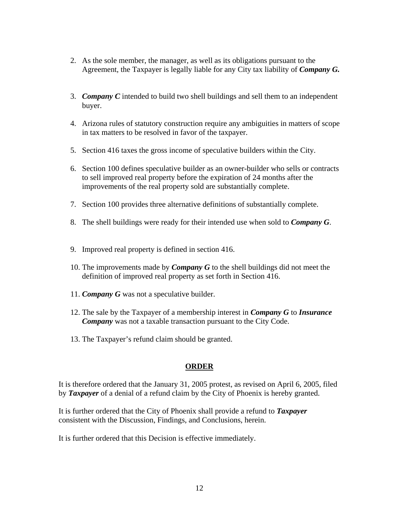- 2. As the sole member, the manager, as well as its obligations pursuant to the Agreement, the Taxpayer is legally liable for any City tax liability of *Company G.*
- 3. *Company C* intended to build two shell buildings and sell them to an independent buyer.
- 4. Arizona rules of statutory construction require any ambiguities in matters of scope in tax matters to be resolved in favor of the taxpayer.
- 5. Section 416 taxes the gross income of speculative builders within the City.
- 6. Section 100 defines speculative builder as an owner-builder who sells or contracts to sell improved real property before the expiration of 24 months after the improvements of the real property sold are substantially complete.
- 7. Section 100 provides three alternative definitions of substantially complete.
- 8. The shell buildings were ready for their intended use when sold to *Company G*.
- 9. Improved real property is defined in section 416.
- 10. The improvements made by *Company G* to the shell buildings did not meet the definition of improved real property as set forth in Section 416.
- 11. *Company G* was not a speculative builder.
- 12. The sale by the Taxpayer of a membership interest in *Company G* to *Insurance Company* was not a taxable transaction pursuant to the City Code.
- 13. The Taxpayer's refund claim should be granted.

## **ORDER**

It is therefore ordered that the January 31, 2005 protest, as revised on April 6, 2005, filed by *Taxpayer* of a denial of a refund claim by the City of Phoenix is hereby granted.

It is further ordered that the City of Phoenix shall provide a refund to *Taxpayer* consistent with the Discussion, Findings, and Conclusions, herein.

It is further ordered that this Decision is effective immediately.